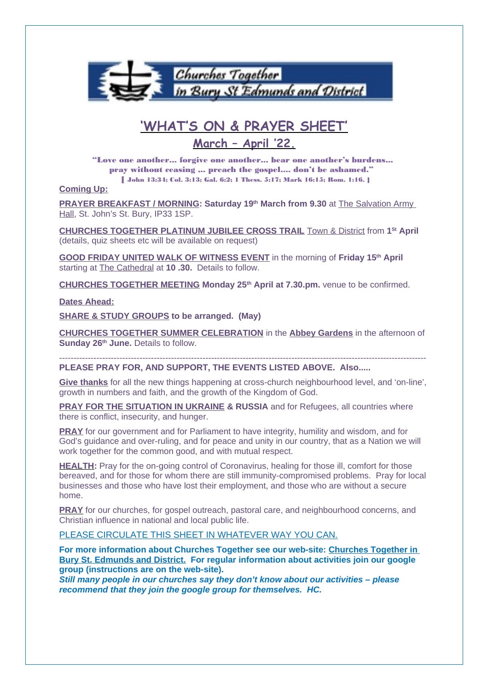

# **'WHAT'S ON & PRAYER SHEET'**

# **March – April '22.**

"Love one another... forgive one another... bear one another's burdens... pray without ceasing ,.. preach the gospel.... don't be ashamed." [ John 13:34; Col. 3:13; Gal. 6:2; 1 Thess. 5:17; Mark 16:15; Rom. 1:16. ]

### **Coming Up:**

**PRAYER BREAKFAST / MORNING: Saturday 19th March from 9.30** at The Salvation Army Hall, St. John's St. Bury, IP33 1SP.

**CHURCHES TOGETHER PLATINUM JUBILEE CROSS TRAIL** Town & District from **1 St April** (details, quiz sheets etc will be available on request)

**GOOD FRIDAY UNITED WALK OF WITNESS EVENT** in the morning of **Friday 15th April**  starting at The Cathedral at **10 .30.** Details to follow.

**CHURCHES TOGETHER MEETING Monday 25th April at 7.30.pm.** venue to be confirmed.

### **Dates Ahead:**

**SHARE & STUDY GROUPS to be arranged. (May)**

**CHURCHES TOGETHER SUMMER CELEBRATION** in the **Abbey Gardens** in the afternoon of **Sunday 26th June.** Details to follow.

-------------------------------------------------------------------------------------------------------------------------------- **PLEASE PRAY FOR, AND SUPPORT, THE EVENTS LISTED ABOVE. Also.....**

**Give thanks** for all the new things happening at cross-church neighbourhood level, and 'on-line', growth in numbers and faith, and the growth of the Kingdom of God.

**PRAY FOR THE SITUATION IN UKRAINE & RUSSIA** and for Refugees, all countries where there is conflict, insecurity, and hunger.

**PRAY** for our government and for Parliament to have integrity, humility and wisdom, and for God's guidance and over-ruling, and for peace and unity in our country, that as a Nation we will work together for the common good, and with mutual respect.

**HEALTH:** Pray for the on-going control of Coronavirus, healing for those ill, comfort for those bereaved, and for those for whom there are still immunity-compromised problems. Pray for local businesses and those who have lost their employment, and those who are without a secure home.

**PRAY** for our churches, for gospel outreach, pastoral care, and neighbourhood concerns, and Christian influence in national and local public life.

PLEASE CIRCULATE THIS SHEET IN WHATEVER WAY YOU CAN.

**For more information about Churches Together see our web-site: Churches Together in Bury St. Edmunds and District. For regular information about activities join our google group (instructions are on the web-site).**

**Still many people in our churches say they don't know about our activities – please recommend that they join the google group for themselves. HC.**